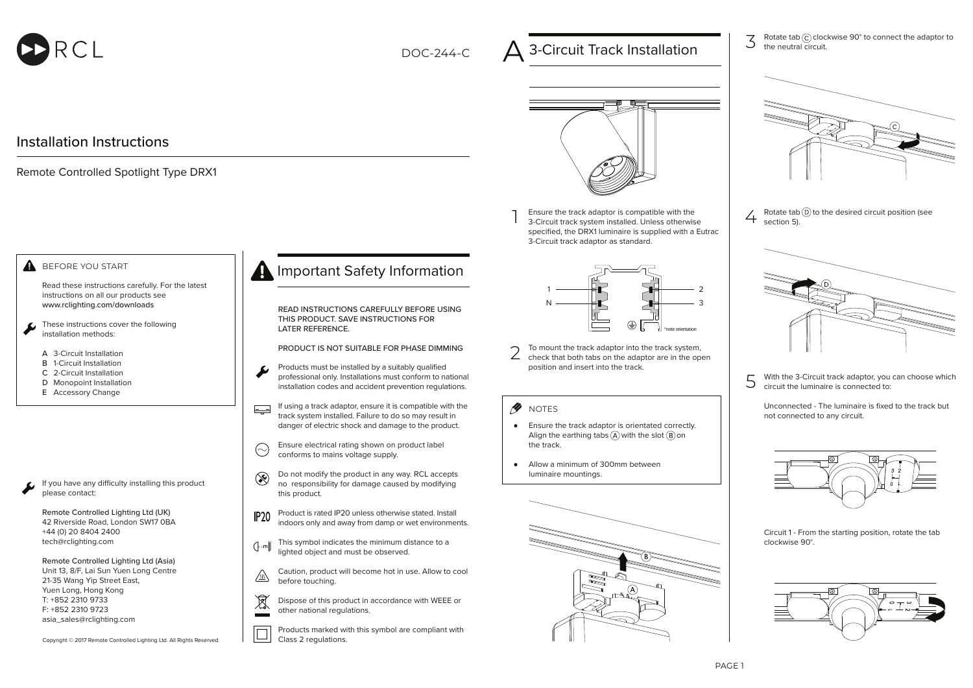

DOC-244-C

# 3-Circuit Track Installation

 $\overline{3}$  Rotate tab  $\odot$  clockwise 90° to connect the adaptor to the noutral circuit the neutral circuit.



1 Ensure the track adaptor is compatible with the 3-Circuit track system installed. Unless otherwise specified, the DRX1 luminaire is supplied with a Eutrac 3-Circuit track adaptor as standard.



2 To mount the track adaptor into the track system, check that both tabs on the adaptor are in the open position and insert into the track.

*M* NOTES

- Ensure the track adaptor is orientated correctly. Align the earthing tabs  $(A)$  with the slot  $(B)$  on the track.
- Allow a minimum of 300mm between  $\bullet$ luminaire mountings.





 $\overline{4}$  Rotate tab  $\overline{0}$  to the desired circuit position (see section 5).



 $\overline{5}$  With the 3-Circuit track adaptor, you can choose which circuit the luminaire is connected to:

Unconnected - The luminaire is fixed to the track but not connected to any circuit.



Circuit 1 - From the starting position, rotate the tab clockwise 90°.



### **A** BEFORE YOU START

Installation Instructions

Remote Controlled Spotlight Type DRX1

Read these instructions carefully. For the latest instructions on all our products see www.rclighting.com/downloads

- These instructions cover the following installation methods:
- 3-Circuit Installation A
- **B** 1-Circuit Installation
- 2-Circuit Installation C
- D Monopoint Installation
- E Accessory Change

If you have any difficulty installing this product please contact:

Remote Controlled Lighting Ltd (UK) 42 Riverside Road, London SW17 0BA +44 (0) 20 8404 2400 tech@rclighting.com

Remote Controlled Lighting Ltd (Asia) Unit 13, 8/F, Lai Sun Yuen Long Centre 21-35 Wang Yip Street East, Yuen Long, Hong Kong T: +852 2310 9733 F: +852 2310 9723 asia\_sales@rclighting.com

Copyright © 2017 Remote Controlled Lighting Ltd. All Rights Reserved.

## **A** Important Safety Information

READ INSTRUCTIONS CAREFULLY BEFORE USING THIS PRODUCT. SAVE INSTRUCTIONS FOR LATER REFERENCE.

PRODUCT IS NOT SUITABLE FOR PHASE DIMMING

- Products must be installed by a suitably qualified professional only. Installations must conform to national installation codes and accident prevention regulations.
- If using a track adaptor, ensure it is compatible with the  $E =$ track system installed. Failure to do so may result in danger of electric shock and damage to the product.
- Ensure electrical rating shown on product label  $\odot$ conforms to mains voltage supply.
- Do not modify the product in any way. RCL accepts  $\circledast$ no responsibility for damage caused by modifying this product.
- Product is rated IP20 unless otherwise stated. Install  $IP20$ indoors only and away from damp or wet environments.
- This symbol indicates the minimum distance to a  $\left(\right\}$ -m lighted object and must be observed.
- Caution, product will become hot in use. Allow to cool  $\sqrt{\eta/}$ before touching.
- $\boxtimes$ Dispose of this product in accordance with WEEE or other national regulations.  $\sim$

Products marked with this symbol are compliant with Class 2 regulations.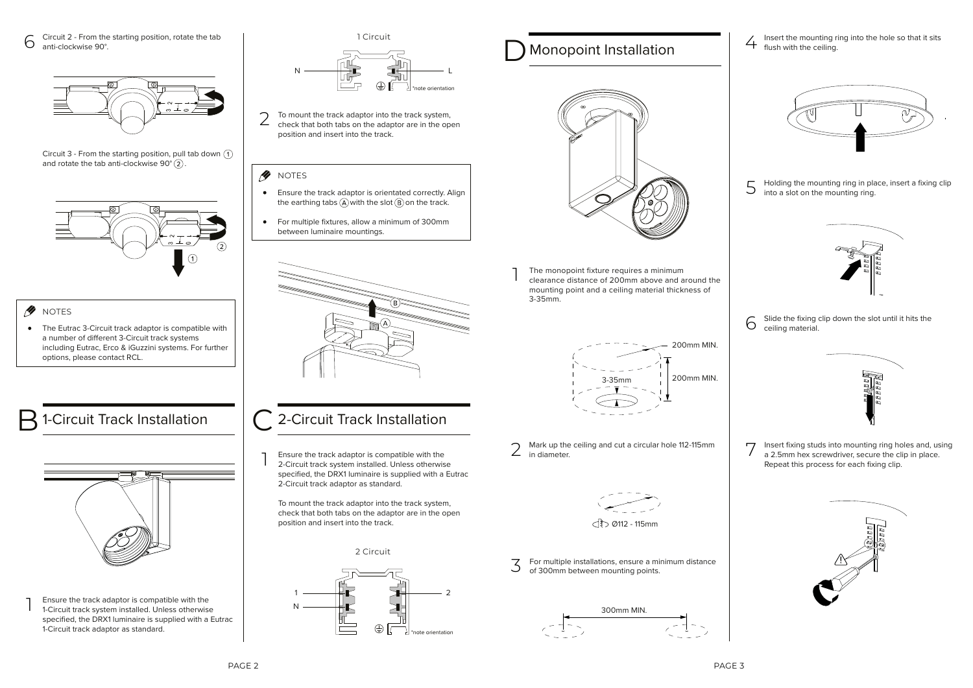$6 \overline{6}$  Circuit 2 - From the starting position, rotate the tab anti-clockwise 90°.



Circuit 3 - From the starting position, pull tab down  $(1)$ and rotate the tab anti-clockwise  $90^{\circ}$  (2).





The Eutrac 3-Circuit track adaptor is compatible with a number of different 3-Circuit track systems including Eutrac, Erco & iGuzzini systems. For further options, please contact RCL.



1 Ensure the track adaptor is compatible with the 1-Circuit track system installed. Unless otherwise specified, the DRX1 luminaire is supplied with a Eutrac 1-Circuit track adaptor as standard.

1 Circuit



2 To mount the track adaptor into the track system, check that both tabs on the adaptor are in the open position and insert into the track.

### *M* NOTES

- Ensure the track adaptor is orientated correctly. Align  $\bullet$ the earthing tabs  $\widehat{A}$  with the slot  $\widehat{B}$  on the track.
- For multiple fixtures, allow a minimum of 300mm between luminaire mountings.



## 1-Circuit Track Installation  $\begin{array}{|c|c|} \hline \text{ } & \text{ } & \text{ } & \text{ } \\ \hline \end{array}$  2-Circuit Track Installation

1 Ensure the track adaptor is compatible with the 2-Circuit track system installed. Unless otherwise specified, the DRX1 luminaire is supplied with a Eutrac 2-Circuit track adaptor as standard.

To mount the track adaptor into the track system, check that both tabs on the adaptor are in the open position and insert into the track.

2 Circuit



## **Monopoint Installation**



1 The monopoint fixture requires a minimum clearance distance of 200mm above and around the mounting point and a ceiling material thickness of 3-35mm.



Mark up the ceiling and cut a circular hole 112-115mm  $2$  Mark up tries



#### $\bigcap_{m=1}^{\infty}$   $\bigcap_{m=1}^{\infty}$   $\bigcap_{m=1}^{\infty}$

 $\overline{3}$  For multiple installations, ensure a minimum distance<br>of 300mm between mounting points of 300mm between mounting points.



 $\angle$  Insert the mounting ring into the hole so that it sits flush with the ceiling.



 $5$  Holding the mounting ring in place, insert a fixing clip<br>into a slot on the mounting ring into a slot on the mounting ring.



 $6<sup>5</sup>$  Slide the fixing clip down the slot until it hits the ceiling material ceiling material.



7 Insert fixing studs into mounting ring holes and, using a 2.5mm hex screwdriver, secure the clip in place. Repeat this process for each fixing clip.

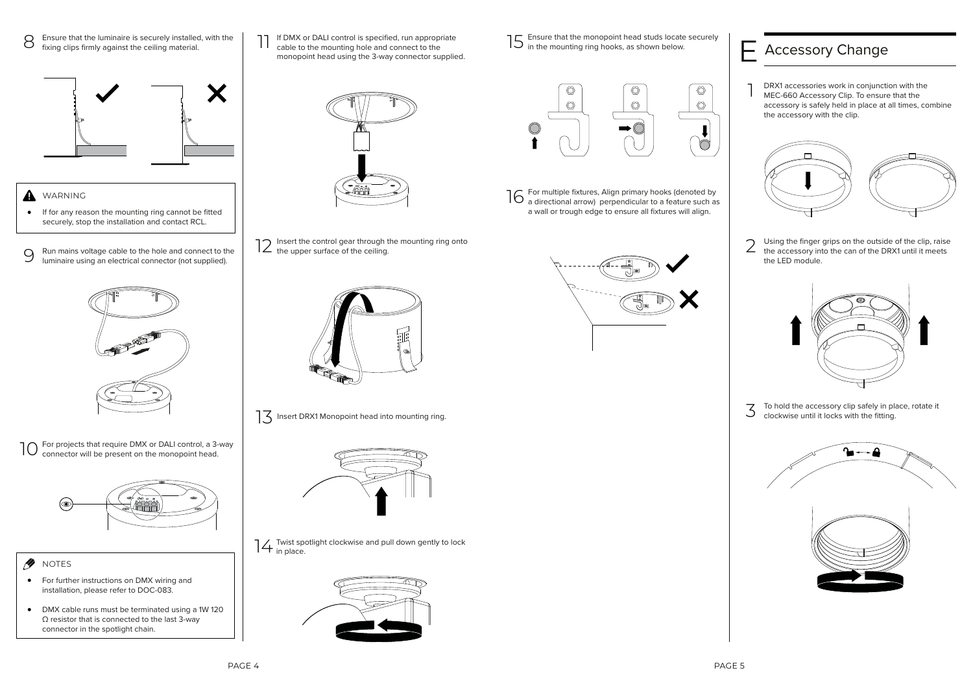- 8 Ensure that the luminaire is securely installed, with the fixing clips firmly against the ceiling material.
	- Х
- **A** WARNING
- If for any reason the mounting ring cannot be fitted  $\bullet$ securely, stop the installation and contact RCL.
- 9 Run mains voltage cable to the hole and connect to the luminaire using an electrical connector (not supplied).



10 For projects that require DMX or DALI control, a 3-way connector will be present on the monopoint head.



- NOTES
- **•** For further instructions on DMX wiring and installation, please refer to DOC-083.
- DMX cable runs must be terminated using a 1W 120 Ω resistor that is connected to the last 3-way connector in the spotlight chain.



11 If DMX or DALI control is specified, run appropriate cable to the mounting hole and connect to the monopoint head using the 3-way connector supplied.

12 Insert the control gear through the mounting ring onto the upper surface of the ceiling.



13 Insert DRX1 Monopoint head into mounting ring.



Twist spotlight clockwise and pull down gently to lock<br>14 in place.



- Ensure that the monopoint head studs locate securely in the mounting ring hooks, as shown below. 15 Ensure that the monopoint head studs locate securely<br>
15 in the mounting ring hooks, as shown below.<br>
<u>Cacessory Change</u>
	- $\circledcirc$  $\circledcirc$ O  $\circledcirc$  $\circ$  $\circ$  $\subset$
- For multiple fixtures, Align primary hooks (denoted by  $\log_{\text{n}}$  For multiple fixtures, Align primary hooks (denoted by a directional arrow) perpendicular to a feature such as a wall or trough edge to ensure all fixtures will align.



1 DRX1 accessories work in conjunction with the MEC-660 Accessory Clip. To ensure that the accessory is safely held in place at all times, combine the accessory with the clip.



2 Using the finger grips on the outside of the clip, raise the accessory into the can of the DRX1 until it meets the LED module.



 $\overline{3}$  To hold the accessory clip safely in place, rotate it<br>clockwise until it locks with the fitting. clockwise until it locks with the fitting.